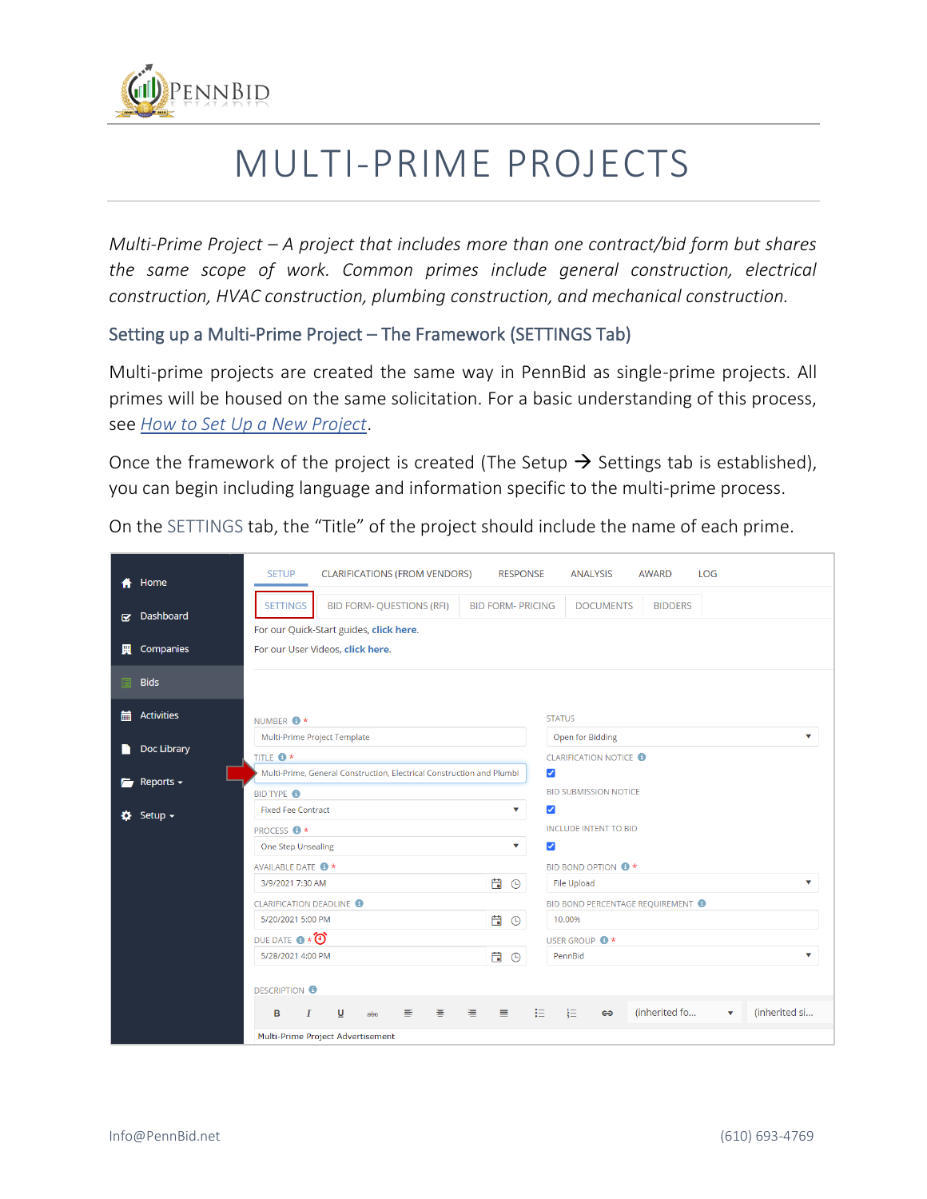

# MULTI-PRIME PROJECTS

*Multi-Prime Project – A project that includes more than one contract/bid form but shares the same scope of work. Common primes include general construction, electrical construction, HVAC construction, plumbing construction, and mechanical construction.*

#### Setting up a Multi-Prime Project – The Framework (SETTINGS Tab)

Multi-prime projects are created the same way in PennBid as single-prime projects. All primes will be housed on the same solicitation. For a basic understanding of this process, see *[How to Set Up a New Project](https://www.pennbid.net/download/?doc=1525/)*.

Once the framework of the project is created (The Setup  $\rightarrow$  Settings tab is established), you can begin including language and information specific to the multi-prime process.

On the SETTINGS tab, the "Title" of the project should include the name of each prime.

|     | Home              | <b>LOG</b><br><b>SETUP</b><br><b>CLARIFICATIONS (FROM VENDORS)</b><br><b>RESPONSE</b><br><b>ANALYSIS</b><br><b>AWARD</b>                             |
|-----|-------------------|------------------------------------------------------------------------------------------------------------------------------------------------------|
| R.  | Dashboard         | <b>BID FORM- QUESTIONS (RFI)</b><br><b>SETTINGS</b><br><b>BID FORM- PRICING</b><br><b>DOCUMENTS</b><br><b>BIDDERS</b>                                |
| 圜   | Companies         | For our Quick-Start guides, click here.<br>For our User Videos, click here.                                                                          |
|     |                   |                                                                                                                                                      |
|     | <b>Bids</b>       |                                                                                                                                                      |
| 藟   | <b>Activities</b> | <b>STATUS</b><br>NUMBER <sup>+</sup>                                                                                                                 |
|     |                   | Multi-Prime Project Template<br>Open for Bidding<br>$\checkmark$                                                                                     |
|     | Doc Library       | TITLE <sup>+</sup><br><b>CLARIFICATION NOTICE O</b>                                                                                                  |
| r i | Reports $\sim$    | Multi-Prime, General Construction, Electrical Construction and Plumbi<br>$\blacktriangledown$                                                        |
|     |                   | <b>BID SUBMISSION NOTICE</b><br><b>BID TYPE ®</b>                                                                                                    |
| Ð.  | Setup $\sim$      | $\blacktriangledown$<br><b>Fixed Fee Contract</b><br>v                                                                                               |
|     |                   | <b>INCLUDE INTENT TO BID</b><br><b>PROCESS O*</b>                                                                                                    |
|     |                   | $\overline{\mathbf{v}}$<br>$\blacktriangledown$<br>One Step Unsealing                                                                                |
|     |                   | AVAILABLE DATE <sup>+</sup><br>BID BOND OPTION <sup>8</sup>                                                                                          |
|     |                   | 白 <sup>○</sup><br><b>File Upload</b><br>3/9/2021 7:30 AM<br>$\checkmark$                                                                             |
|     |                   | <b>CLARIFICATION DEADLINE @</b><br>BID BOND PERCENTAGE REQUIREMENT                                                                                   |
|     |                   | 自9<br>5/20/2021 5:00 PM<br>10.00%                                                                                                                    |
|     |                   | DUE DATE <b>@ * 0</b><br>USER GROUP <sup>+</sup>                                                                                                     |
|     |                   | 自<br>5/28/2021 4:00 PM<br>PennBid<br>$\odot$                                                                                                         |
|     |                   |                                                                                                                                                      |
|     |                   | <b>DESCRIPTION O</b>                                                                                                                                 |
|     |                   | (inherited fo<br>(inherited si<br>挂<br>$\frac{1}{2}$<br>害<br>清<br>$\boldsymbol{I}$<br>U<br>目<br>〓<br>в<br>$\oplus$<br>$\overline{\mathbf{v}}$<br>abe |
|     |                   | Multi-Prime Project Advertisement                                                                                                                    |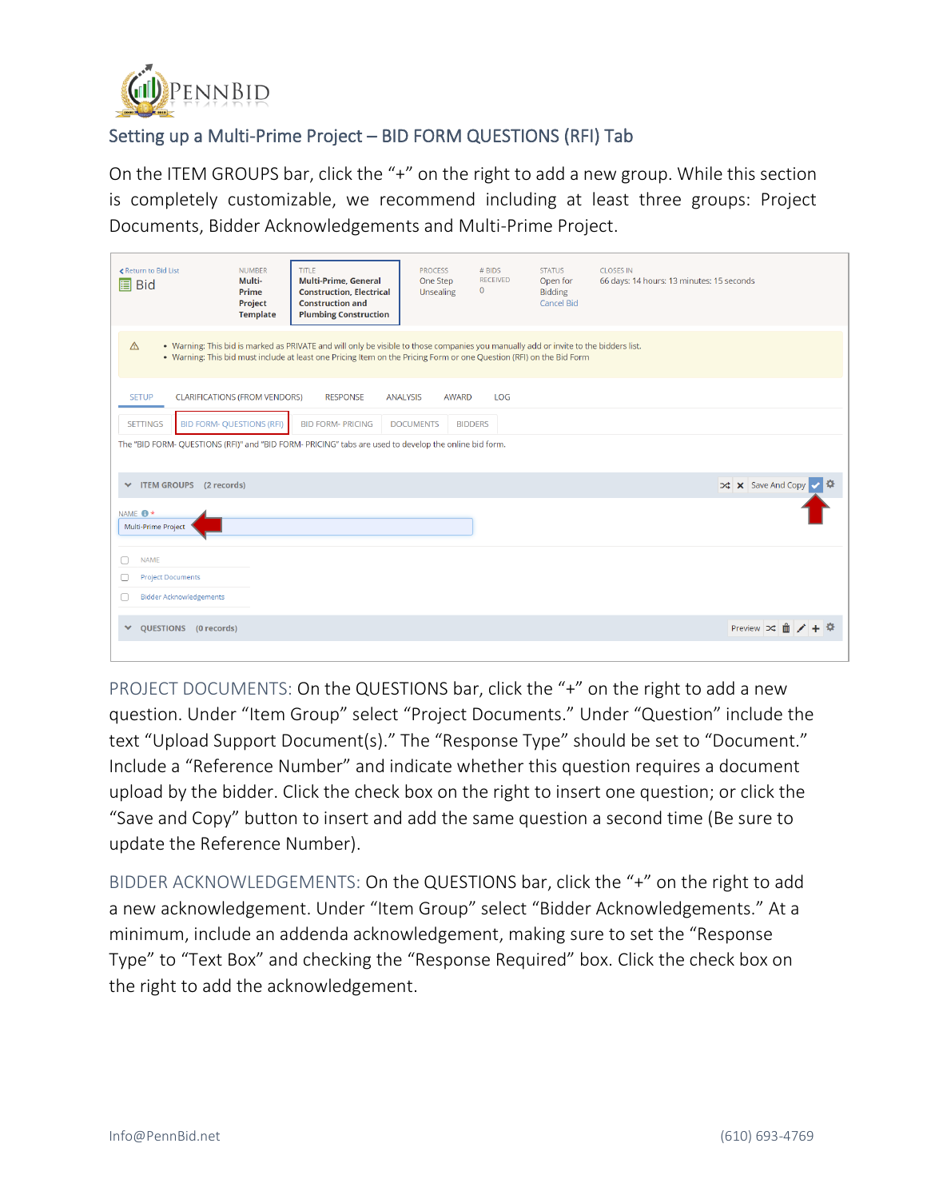

## Setting up a Multi-Prime Project – BID FORM QUESTIONS (RFI) Tab

On the ITEM GROUPS bar, click the "+" on the right to add a new group. While this section is completely customizable, we recommend including at least three groups: Project Documents, Bidder Acknowledgements and Multi-Prime Project.

| ≮ Return to Bid List<br><b>圖</b> Bid     |                                  | <b>NUMBER</b><br>Multi-<br>Prime<br>Project<br><b>Template</b> | <b>TITLE</b><br><b>Multi-Prime, General</b><br><b>Construction, Electrical</b><br><b>Construction and</b><br><b>Plumbing Construction</b>                                                                                                                    | <b>PROCESS</b><br>One Step<br>Unsealing | # BIDS<br>$\mathbf 0$ | <b>RECEIVED</b> | <b>STATUS</b><br>Open for<br><b>Bidding</b><br><b>Cancel Bid</b> | <b>CLOSES IN</b><br>66 days: 14 hours: 13 minutes: 15 seconds |                                 |  |
|------------------------------------------|----------------------------------|----------------------------------------------------------------|--------------------------------------------------------------------------------------------------------------------------------------------------------------------------------------------------------------------------------------------------------------|-----------------------------------------|-----------------------|-----------------|------------------------------------------------------------------|---------------------------------------------------------------|---------------------------------|--|
| $\triangle$                              |                                  |                                                                | . Warning: This bid is marked as PRIVATE and will only be visible to those companies you manually add or invite to the bidders list.<br>. Warning: This bid must include at least one Pricing Item on the Pricing Form or one Question (RFI) on the Bid Form |                                         |                       |                 |                                                                  |                                                               |                                 |  |
| <b>SETUP</b>                             |                                  | <b>CLARIFICATIONS (FROM VENDORS)</b>                           | <b>RESPONSE</b>                                                                                                                                                                                                                                              | <b>ANALYSIS</b>                         | <b>AWARD</b>          | LOG             |                                                                  |                                                               |                                 |  |
| <b>SETTINGS</b>                          | <b>BID FORM- QUESTIONS (RFI)</b> |                                                                | <b>BID FORM- PRICING</b>                                                                                                                                                                                                                                     | <b>DOCUMENTS</b>                        | <b>BIDDERS</b>        |                 |                                                                  |                                                               |                                 |  |
|                                          |                                  |                                                                | The "BID FORM- QUESTIONS (RFI)" and "BID FORM- PRICING" tabs are used to develop the online bid form.                                                                                                                                                        |                                         |                       |                 |                                                                  |                                                               |                                 |  |
| $\checkmark$                             | ITEM GROUPS (2 records)          |                                                                |                                                                                                                                                                                                                                                              |                                         |                       |                 |                                                                  |                                                               | <b>X</b> X Save And Copy √      |  |
| NAME <sup>*</sup><br>Multi-Prime Project |                                  |                                                                |                                                                                                                                                                                                                                                              |                                         |                       |                 |                                                                  |                                                               |                                 |  |
| <b>NAME</b><br>г                         |                                  |                                                                |                                                                                                                                                                                                                                                              |                                         |                       |                 |                                                                  |                                                               |                                 |  |
| <b>Project Documents</b><br>0            |                                  |                                                                |                                                                                                                                                                                                                                                              |                                         |                       |                 |                                                                  |                                                               |                                 |  |
| П                                        | <b>Bidder Acknowledgements</b>   |                                                                |                                                                                                                                                                                                                                                              |                                         |                       |                 |                                                                  |                                                               |                                 |  |
| $\checkmark$<br><b>OUESTIONS</b>         | (0 records)                      |                                                                |                                                                                                                                                                                                                                                              |                                         |                       |                 |                                                                  |                                                               | Preview $\Rightarrow$ $\hat{m}$ |  |

PROJECT DOCUMENTS: On the QUESTIONS bar, click the "+" on the right to add a new question. Under "Item Group" select "Project Documents." Under "Question" include the text "Upload Support Document(s)." The "Response Type" should be set to "Document." Include a "Reference Number" and indicate whether this question requires a document upload by the bidder. Click the check box on the right to insert one question; or click the "Save and Copy" button to insert and add the same question a second time (Be sure to update the Reference Number).

BIDDER ACKNOWLEDGEMENTS: On the QUESTIONS bar, click the "+" on the right to add a new acknowledgement. Under "Item Group" select "Bidder Acknowledgements." At a minimum, include an addenda acknowledgement, making sure to set the "Response Type" to "Text Box" and checking the "Response Required" box. Click the check box on the right to add the acknowledgement.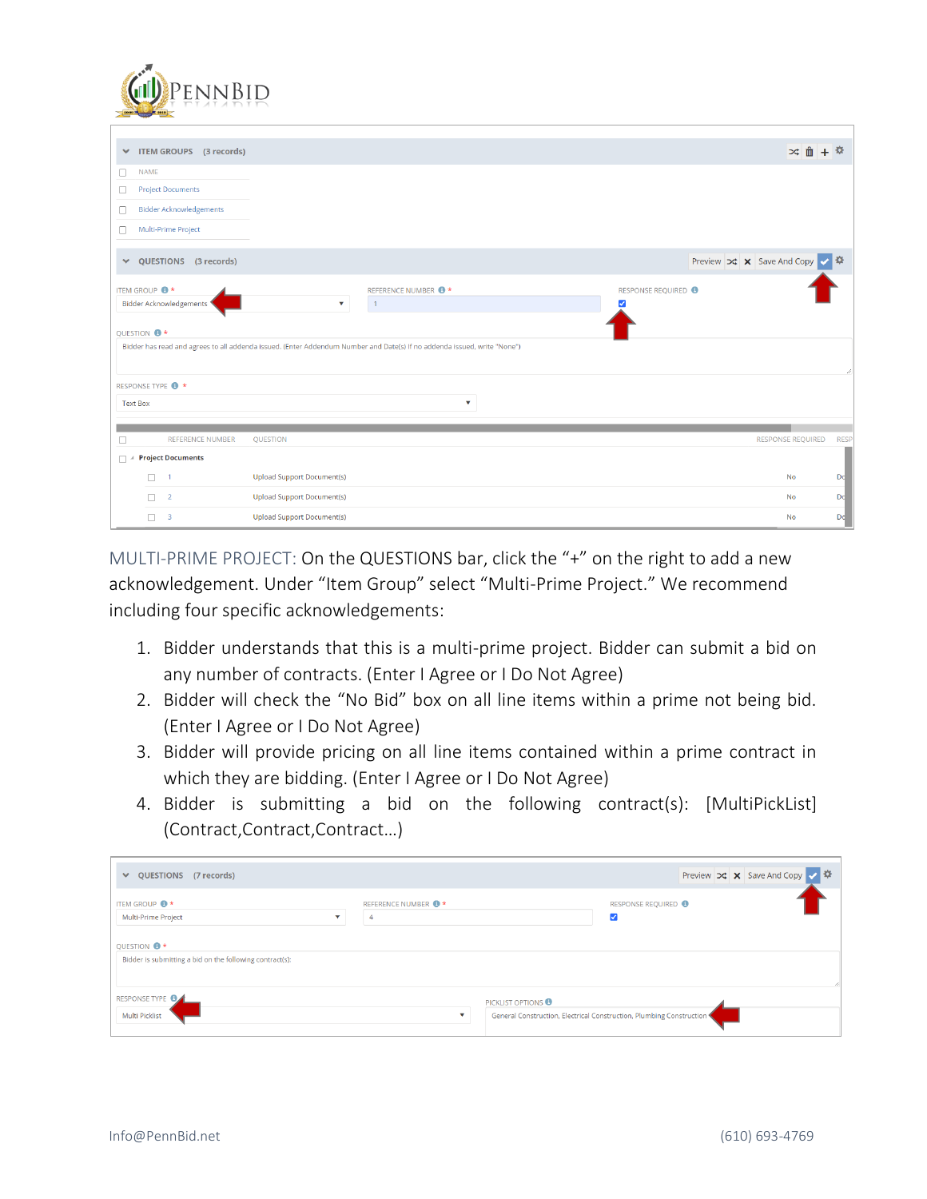

| ×                     |                            | ITEM GROUPS (3 records)        |                                                                                                                          |                               |   |                                |                                                              |                          | ※ 面 + 章     |
|-----------------------|----------------------------|--------------------------------|--------------------------------------------------------------------------------------------------------------------------|-------------------------------|---|--------------------------------|--------------------------------------------------------------|--------------------------|-------------|
| 0                     | <b>NAME</b>                |                                |                                                                                                                          |                               |   |                                |                                                              |                          |             |
| 0                     | <b>Project Documents</b>   |                                |                                                                                                                          |                               |   |                                |                                                              |                          |             |
| 0                     |                            | <b>Bidder Acknowledgements</b> |                                                                                                                          |                               |   |                                |                                                              |                          |             |
| ∩                     | Multi-Prime Project        |                                |                                                                                                                          |                               |   |                                |                                                              |                          |             |
| $\checkmark$          |                            | QUESTIONS (3 records)          |                                                                                                                          |                               |   |                                | Preview $\infty$ <b>x</b> Save And Copy $\sim$ $\frac{1}{2}$ |                          |             |
|                       | <b>ITEM GROUP ● ★</b>      |                                |                                                                                                                          | REFERENCE NUMBER <sup>+</sup> |   | RESPONSE REQUIRED <sup>8</sup> |                                                              |                          |             |
|                       |                            | <b>Bidder Acknowledgements</b> | $\pmb{\nabla}$                                                                                                           | $\overline{1}$                |   | ◡                              |                                                              |                          |             |
| QUESTION <sup>+</sup> |                            |                                |                                                                                                                          |                               |   |                                |                                                              |                          |             |
|                       |                            |                                | Bidder has read and agrees to all addenda issued. (Enter Addendum Number and Date(s) If no addenda issued, write "None") |                               |   |                                |                                                              |                          |             |
|                       |                            |                                |                                                                                                                          |                               |   |                                |                                                              |                          |             |
|                       | RESPONSE TYPE <sup>+</sup> |                                |                                                                                                                          |                               |   |                                |                                                              |                          |             |
| <b>Text Box</b>       |                            |                                |                                                                                                                          |                               | v |                                |                                                              |                          |             |
|                       |                            |                                |                                                                                                                          |                               |   |                                |                                                              |                          |             |
| Π                     |                            | <b>REFERENCE NUMBER</b>        | QUESTION                                                                                                                 |                               |   |                                |                                                              | <b>RESPONSE REQUIRED</b> | <b>RESP</b> |
| $\Box$                | <b>Project Documents</b>   |                                |                                                                                                                          |                               |   |                                |                                                              |                          |             |
|                       | n<br>$\mathbf{1}$          |                                | <b>Upload Support Document(s)</b>                                                                                        |                               |   |                                |                                                              | <b>No</b>                | Do          |
|                       | $\overline{2}$<br>$\Box$   |                                | <b>Upload Support Document(s)</b>                                                                                        |                               |   |                                |                                                              | <b>No</b>                | Do          |
|                       | 3<br>П.                    |                                | <b>Upload Support Document(s)</b>                                                                                        |                               |   |                                |                                                              | <b>No</b>                | Dc          |

MULTI-PRIME PROJECT: On the QUESTIONS bar, click the "+" on the right to add a new acknowledgement. Under "Item Group" select "Multi-Prime Project." We recommend including four specific acknowledgements:

- 1. Bidder understands that this is a multi-prime project. Bidder can submit a bid on any number of contracts. (Enter I Agree or I Do Not Agree)
- 2. Bidder will check the "No Bid" box on all line items within a prime not being bid. (Enter I Agree or I Do Not Agree)
- 3. Bidder will provide pricing on all line items contained within a prime contract in which they are bidding. (Enter I Agree or I Do Not Agree)
- 4. Bidder is submitting a bid on the following contract(s): [MultiPickList] (Contract,Contract,Contract…)

| ◆ QUESTIONS (7 records)                                                           |                               |                                                                                          | Preview $\infty$ <b>x</b> Save And Copy $\sim$ $\bullet$ |
|-----------------------------------------------------------------------------------|-------------------------------|------------------------------------------------------------------------------------------|----------------------------------------------------------|
| ITEM GROUP <sup>+</sup><br>Multi-Prime Project                                    | REFERENCE NUMBER <sup>+</sup> |                                                                                          | RESPONSE REQUIRED                                        |
| QUESTION <sup>+</sup><br>Bidder is submitting a bid on the following contract(s): |                               |                                                                                          |                                                          |
| RESPONSE TYPE <b>O</b><br>Multi Picklist                                          | $\mathbf{v}$                  | PICKLIST OPTIONS<br>General Construction, Electrical Construction, Plumbing Construction |                                                          |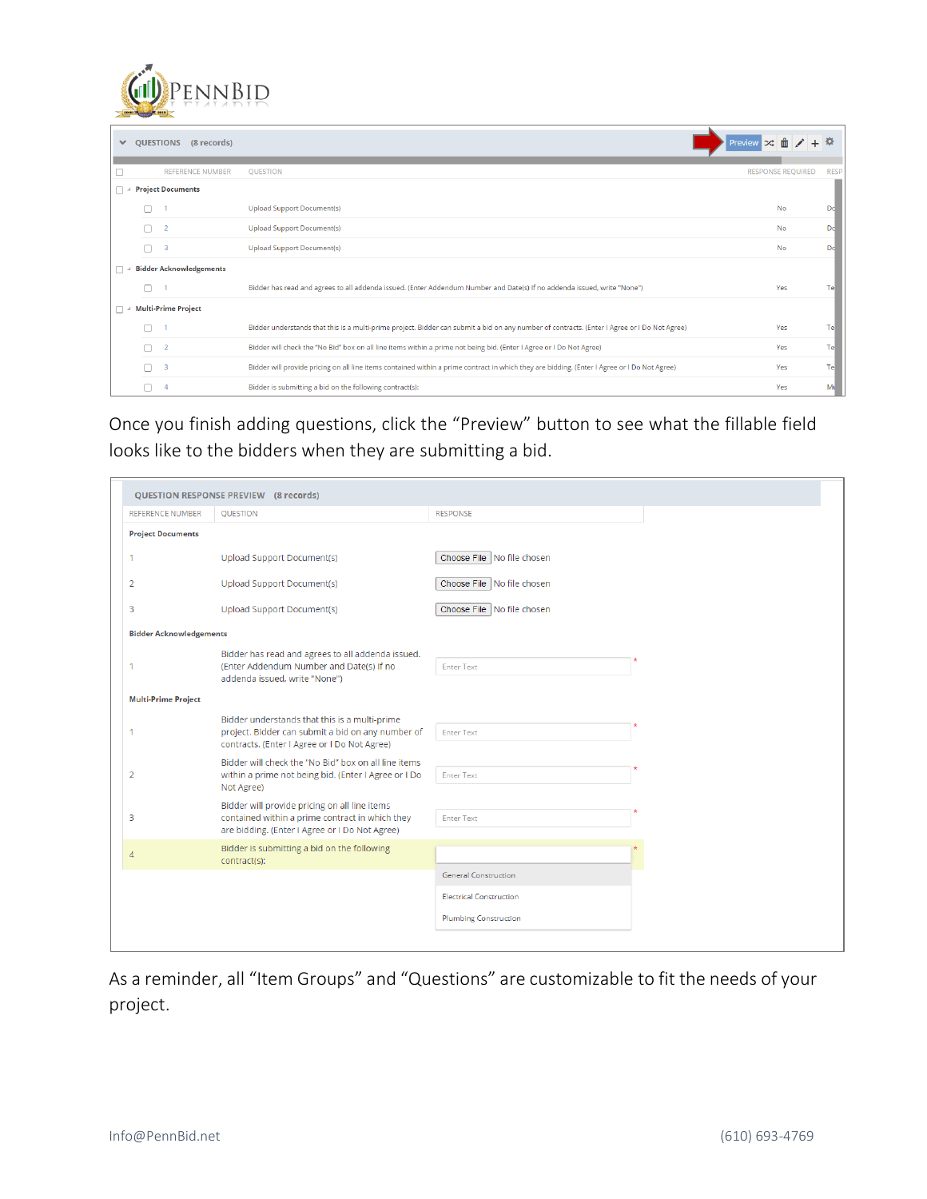

| $\checkmark$ | QUESTIONS<br>(8 records)       |                                                                                                                                              | Preview $\Rightarrow$ $\frac{1}{10}$ $\neq$ $+$ |             |
|--------------|--------------------------------|----------------------------------------------------------------------------------------------------------------------------------------------|-------------------------------------------------|-------------|
|              | <b>REFERENCE NUMBER</b>        | <b>OUESTION</b>                                                                                                                              | <b>RESPONSE REQUIRED</b>                        | <b>RESP</b> |
|              | <b>Project Documents</b>       |                                                                                                                                              |                                                 |             |
|              |                                | <b>Upload Support Document(s)</b>                                                                                                            | <b>No</b>                                       |             |
|              |                                | <b>Upload Support Document(s)</b>                                                                                                            | <b>No</b>                                       | Dd          |
|              | 3                              | <b>Upload Support Document(s)</b>                                                                                                            | <b>No</b>                                       | Dd          |
|              | <b>Bidder Acknowledgements</b> |                                                                                                                                              |                                                 |             |
|              |                                | Bidder has read and agrees to all addenda issued. (Enter Addendum Number and Date(s) If no addenda issued, write "None")                     | Yes                                             | Tel         |
|              | <b>Multi-Prime Project</b>     |                                                                                                                                              |                                                 |             |
|              |                                | Bidder understands that this is a multi-prime project. Bidder can submit a bid on any number of contracts. (Enter I Agree or I Do Not Agree) | Yes                                             | Tel         |
|              | -2                             | Bidder will check the "No Bid" box on all line items within a prime not being bid. (Enter I Agree or I Do Not Agree)                         | Yes                                             | Tel         |
|              | 3                              | Bidder will provide pricing on all line items contained within a prime contract in which they are bidding. (Enter I Agree or I Do Not Agree) | Yes                                             | Tel         |
|              |                                | Bidder is submitting a bid on the following contract(s):                                                                                     | Yes                                             | Mι          |

Once you finish adding questions, click the "Preview" button to see what the fillable field looks like to the bidders when they are submitting a bid.

|                                | <b>QUESTION RESPONSE PREVIEW (8 records)</b>                                                                                                       |                                |
|--------------------------------|----------------------------------------------------------------------------------------------------------------------------------------------------|--------------------------------|
| <b>REFERENCE NUMBER</b>        | QUESTION                                                                                                                                           | <b>RESPONSE</b>                |
| <b>Project Documents</b>       |                                                                                                                                                    |                                |
|                                | Upload Support Document(s)                                                                                                                         | Choose File No file chosen     |
| 2                              | Upload Support Document(s)                                                                                                                         | Choose File   No file chosen   |
| 3                              | Upload Support Document(s)                                                                                                                         | Choose File   No file chosen   |
| <b>Bidder Acknowledgements</b> |                                                                                                                                                    |                                |
|                                | Bidder has read and agrees to all addenda issued.<br>(Enter Addendum Number and Date(s) If no<br>addenda issued, write "None")                     | <b>Enter Text</b>              |
| <b>Multi-Prime Project</b>     |                                                                                                                                                    |                                |
|                                | Bidder understands that this is a multi-prime<br>project. Bidder can submit a bid on any number of<br>contracts. (Enter I Agree or I Do Not Agree) | <b>Enter Text</b>              |
| $\overline{2}$                 | Bidder will check the "No Bid" box on all line items<br>within a prime not being bid. (Enter I Agree or I Do                                       | <b>Enter Text</b>              |
|                                | Not Agree)                                                                                                                                         |                                |
| 3                              | Bidder will provide pricing on all line items<br>contained within a prime contract in which they                                                   | <b>Enter Text</b>              |
|                                | are bidding. (Enter I Agree or I Do Not Agree)                                                                                                     |                                |
| 4                              | Bidder is submitting a bid on the following<br>contract(s):                                                                                        |                                |
|                                |                                                                                                                                                    | <b>General Construction</b>    |
|                                |                                                                                                                                                    | <b>Electrical Construction</b> |
|                                |                                                                                                                                                    | <b>Plumbing Construction</b>   |
|                                |                                                                                                                                                    |                                |

As a reminder, all "Item Groups" and "Questions" are customizable to fit the needs of your project.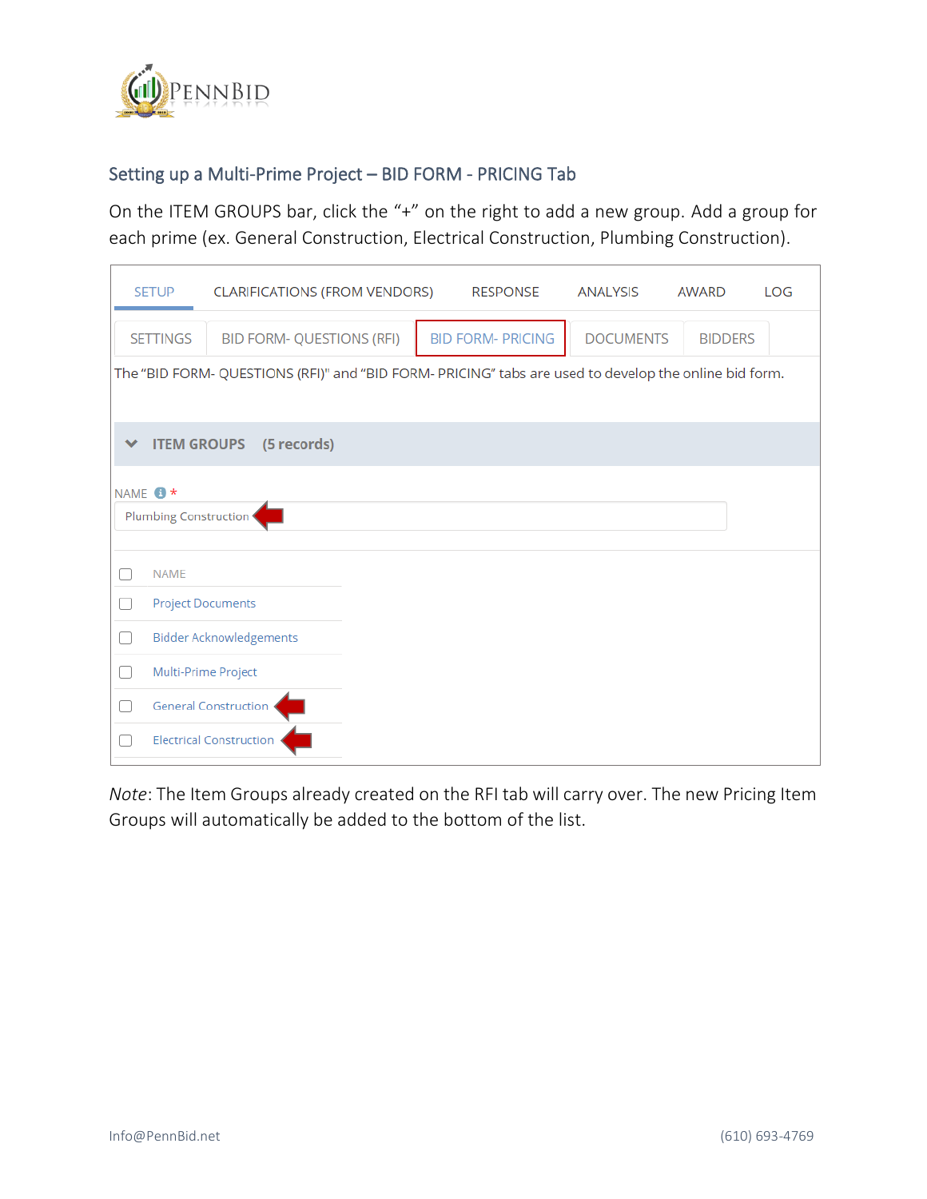

### Setting up a Multi-Prime Project – BID FORM - PRICING Tab

On the ITEM GROUPS bar, click the "+" on the right to add a new group. Add a group for each prime (ex. General Construction, Electrical Construction, Plumbing Construction).

|   | <b>SETUP</b>          | <b>CLARIFICATIONS (FROM VENDORS)</b> | <b>RESPONSE</b>                                                                                       | ANALYSIS         | AWARD          | <b>LOG</b> |
|---|-----------------------|--------------------------------------|-------------------------------------------------------------------------------------------------------|------------------|----------------|------------|
|   | <b>SETTINGS</b>       | <b>BID FORM- QUESTIONS (RFI)</b>     | <b>BID FORM- PRICING</b>                                                                              | <b>DOCUMENTS</b> | <b>BIDDERS</b> |            |
|   |                       |                                      | The "BID FORM- QUESTIONS (RFI)" and "BID FORM- PRICING" tabs are used to develop the online bid form. |                  |                |            |
|   |                       |                                      |                                                                                                       |                  |                |            |
| v | <b>ITEM GROUPS</b>    | (5 records)                          |                                                                                                       |                  |                |            |
|   | NAME <sup>+</sup>     |                                      |                                                                                                       |                  |                |            |
|   | Plumbing Construction |                                      |                                                                                                       |                  |                |            |
|   | <b>NAME</b>           |                                      |                                                                                                       |                  |                |            |
|   |                       | <b>Project Documents</b>             |                                                                                                       |                  |                |            |
| O |                       | <b>Bidder Acknowledgements</b>       |                                                                                                       |                  |                |            |
|   |                       | Multi-Prime Project                  |                                                                                                       |                  |                |            |
|   |                       | <b>General Construction</b>          |                                                                                                       |                  |                |            |
|   |                       | <b>Electrical Construction</b>       |                                                                                                       |                  |                |            |

*Note*: The Item Groups already created on the RFI tab will carry over. The new Pricing Item Groups will automatically be added to the bottom of the list.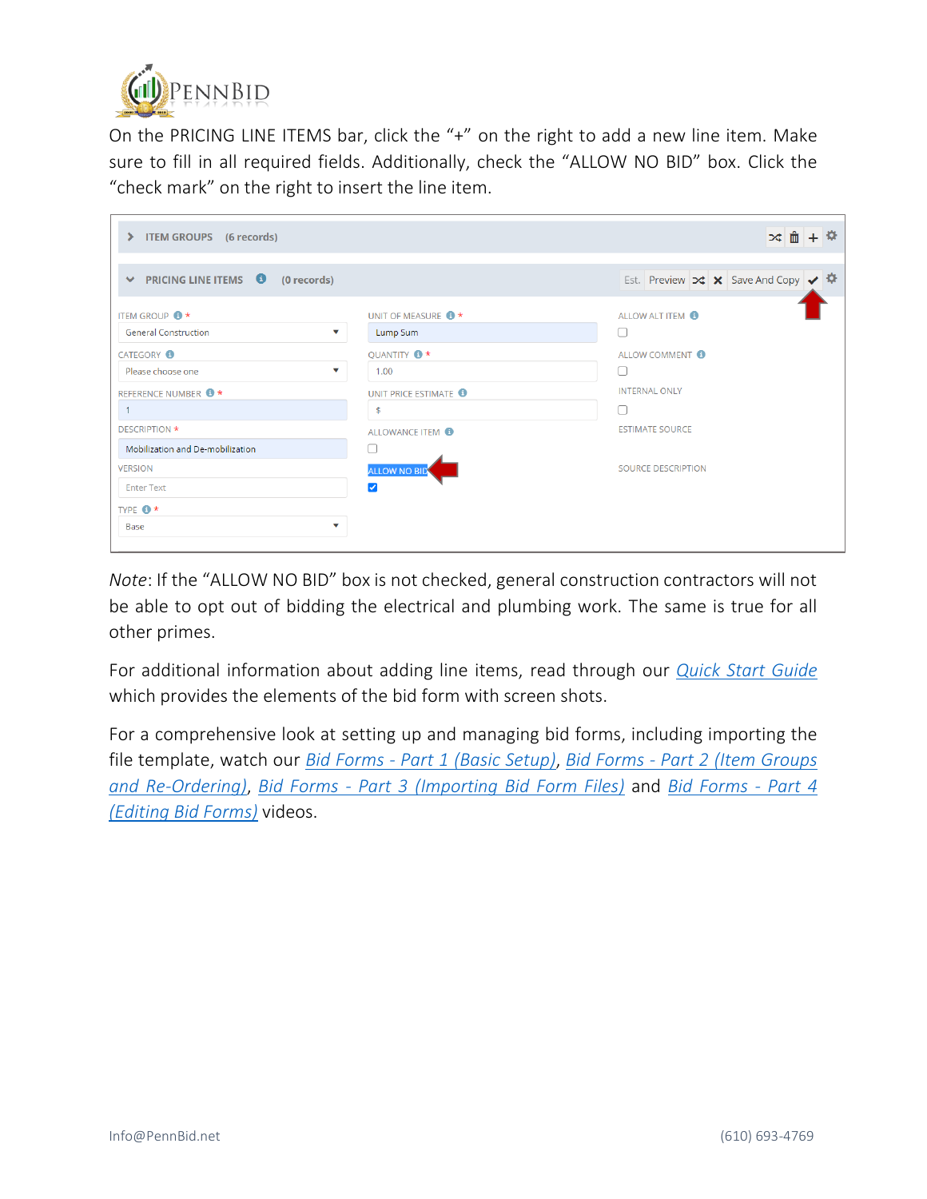

On the PRICING LINE ITEMS bar, click the "+" on the right to add a new line item. Make sure to fill in all required fields. Additionally, check the "ALLOW NO BID" box. Click the "check mark" on the right to insert the line item.

| <b>ITEM GROUPS</b> (6 records)<br>$\blacktriangleright$                                 |                                             | × 面 + <sup>☆</sup>                                                           |
|-----------------------------------------------------------------------------------------|---------------------------------------------|------------------------------------------------------------------------------|
| $\vee$ PRICING LINE ITEMS $\bigcirc$<br>(0 records)                                     |                                             | Est. Preview $\vert \times \vert$ $\times$ Save And Copy $\vert \cdot \vert$ |
| <b>ITEM GROUP <sup>8</sup></b> *<br><b>General Construction</b><br>$\blacktriangledown$ | UNIT OF MEASURE <sup>1</sup><br>Lump Sum    | ALLOW ALT ITEM <sup>6</sup><br>L                                             |
| <b>CATEGORY</b><br>Please choose one<br>$\blacktriangledown$                            | QUANTITY <sup>3</sup><br>1.00               | ALLOW COMMENT <sup>6</sup><br>L                                              |
| REFERENCE NUMBER <sup>1</sup>                                                           | UNIT PRICE ESTIMATE<br>$\mathfrak{s}$       | <b>INTERNAL ONLY</b><br>Г                                                    |
| <b>DESCRIPTION *</b><br>Mobilization and De-mobilization                                | ALLOWANCE ITEM <sup>6</sup><br>C            | <b>ESTIMATE SOURCE</b>                                                       |
| <b>VERSION</b><br><b>Enter Text</b>                                                     | <b>ALLOW NO BID</b><br>$\blacktriangledown$ | <b>SOURCE DESCRIPTION</b>                                                    |
| TYPE <sup>*</sup><br>$\blacktriangledown$<br>Base                                       |                                             |                                                                              |

*Note*: If the "ALLOW NO BID" box is not checked, general construction contractors will not be able to opt out of bidding the electrical and plumbing work. The same is true for all other primes.

For additional information about adding line items, read through our *[Quick Start Guide](https://www.pennbid.net/download/?doc=1523/)* which provides the elements of the bid form with screen shots.

For a comprehensive look at setting up and managing bid forms, including importing the file template, watch our *Bid Forms - Part 1 [\(Basic Setup\)](https://vimeo.com/showcase/6627725/video/382248285)*, *Bid Forms - Part 2 [\(Item Groups](https://vimeo.com/showcase/6627725/video/385893820)  [and Re-Ordering\)](https://vimeo.com/showcase/6627725/video/385893820)*, *Bid Forms - Part 3 [\(Importing Bid Form Files\)](https://vimeo.com/showcase/6627725/video/385896066)* and *[Bid Forms](https://vimeo.com/showcase/6627725/video/385896774) - Part 4 [\(Editing Bid Forms\)](https://vimeo.com/showcase/6627725/video/385896774)* videos.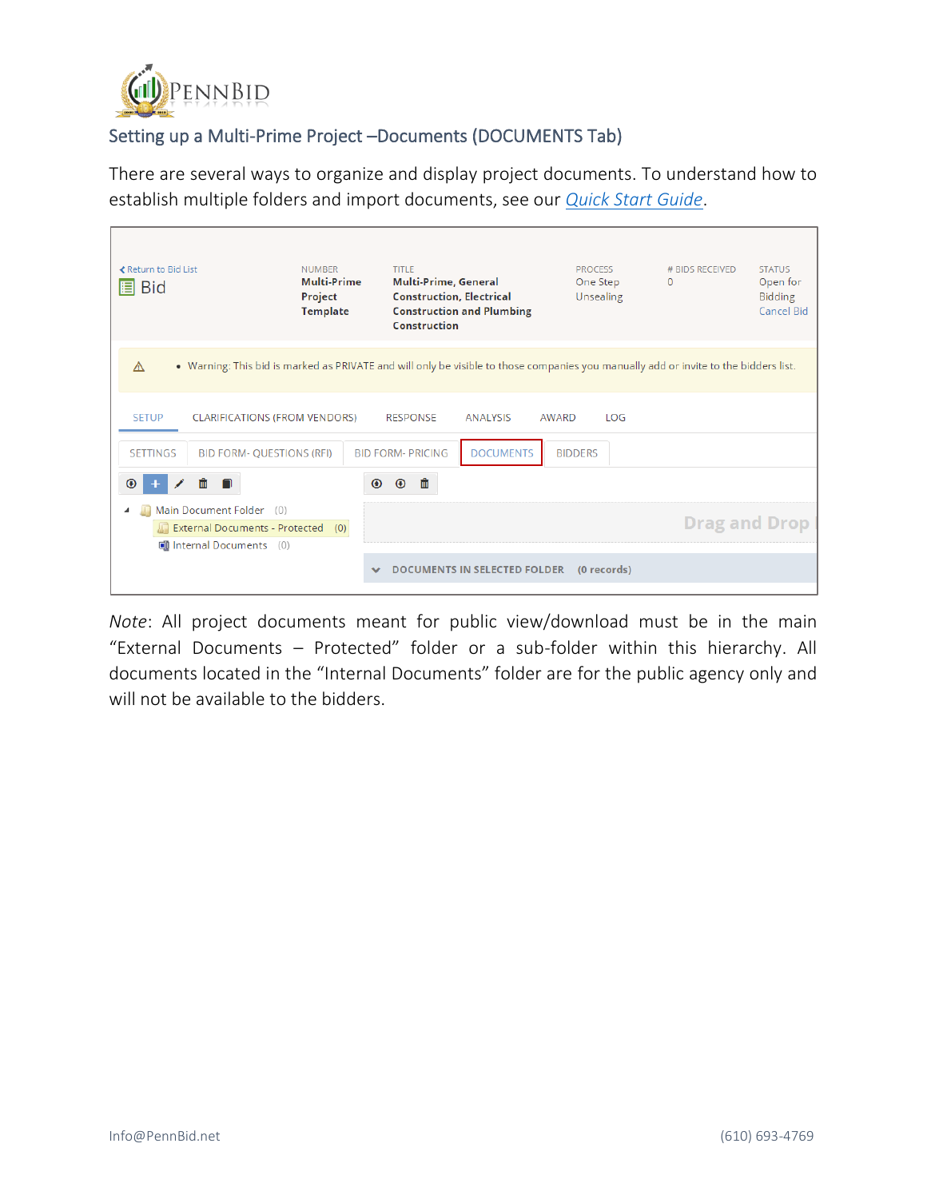

# Setting up a Multi-Prime Project –Documents (DOCUMENTS Tab)

There are several ways to organize and display project documents. To understand how to establish multiple folders and import documents, see our *[Quick Start Guide](https://www.pennbid.net/download/?doc=1526/)*.

| ≮ Return to Bid List<br>目<br><b>Bid</b>                                                                                                   | <b>NUMBER</b><br><b>Multi-Prime</b><br>Project<br><b>Template</b> | TITLE<br>Multi-Prime, General<br><b>Construction, Electrical</b><br><b>Construction and Plumbing</b><br>Construction |                                     | <b>PROCESS</b><br>One Step | Unsealing   | # BIDS RECEIVED<br>0 | <b>STATUS</b><br>Open for<br><b>Bidding</b><br><b>Cancel Bid</b> |  |
|-------------------------------------------------------------------------------------------------------------------------------------------|-------------------------------------------------------------------|----------------------------------------------------------------------------------------------------------------------|-------------------------------------|----------------------------|-------------|----------------------|------------------------------------------------------------------|--|
| . Warning: This bid is marked as PRIVATE and will only be visible to those companies you manually add or invite to the bidders list.<br>Λ |                                                                   |                                                                                                                      |                                     |                            |             |                      |                                                                  |  |
| <b>SETUP</b><br><b>CLARIFICATIONS (FROM VENDORS)</b>                                                                                      |                                                                   | <b>RESPONSE</b>                                                                                                      | <b>ANALYSIS</b>                     | AWARD                      | LOG         |                      |                                                                  |  |
| <b>SETTINGS</b><br><b>BID FORM- QUESTIONS (RFI)</b>                                                                                       |                                                                   | <b>BID FORM- PRICING</b>                                                                                             | <b>DOCUMENTS</b>                    | <b>BIDDERS</b>             |             |                      |                                                                  |  |
| ⊕<br>Ш                                                                                                                                    | $\odot$                                                           | 圃<br>$\odot$                                                                                                         |                                     |                            |             |                      |                                                                  |  |
| Main Document Folder (0)<br><b>Drag and Drop</b><br>External Documents - Protected (0)                                                    |                                                                   |                                                                                                                      |                                     |                            |             |                      |                                                                  |  |
| <b>Di Internal Documents</b> (0)                                                                                                          |                                                                   |                                                                                                                      |                                     |                            |             |                      |                                                                  |  |
|                                                                                                                                           |                                                                   |                                                                                                                      | <b>DOCUMENTS IN SELECTED FOLDER</b> |                            | (0 records) |                      |                                                                  |  |

*Note*: All project documents meant for public view/download must be in the main "External Documents – Protected" folder or a sub-folder within this hierarchy. All documents located in the "Internal Documents" folder are for the public agency only and will not be available to the bidders.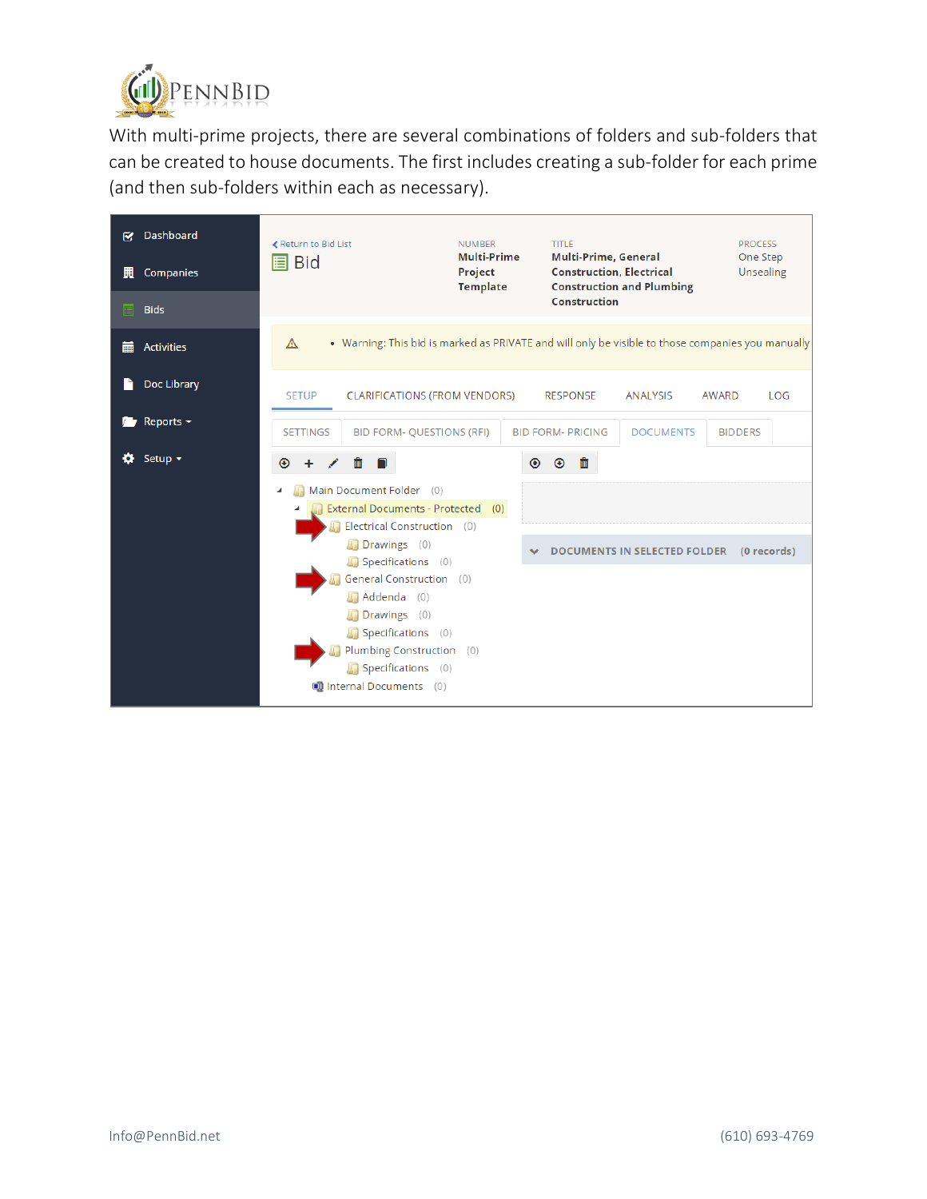

With multi-prime projects, there are several combinations of folders and sub-folders that can be created to house documents. The first includes creating a sub-folder for each prime (and then sub-folders within each as necessary).

| 鬨<br>圓 | <b>R</b> Dashboard<br>Companies<br><b>Bids</b> | ≮ Return to Bid List<br><b>Bid</b><br>目                                                                | <b>NUMBER</b><br><b>Multi-Prime</b><br>Project<br><b>Template</b> | <b>TITLE</b><br><b>Multi-Prime, General</b><br><b>Construction, Electrical</b><br><b>Construction</b> | <b>Construction and Plumbing</b>    | <b>PROCESS</b><br>One Step<br>Unsealing |  |
|--------|------------------------------------------------|--------------------------------------------------------------------------------------------------------|-------------------------------------------------------------------|-------------------------------------------------------------------------------------------------------|-------------------------------------|-----------------------------------------|--|
| 臝      | <b>Activities</b>                              | . Warning: This bid is marked as PRIVATE and will only be visible to those companies you manually<br>A |                                                                   |                                                                                                       |                                     |                                         |  |
|        | Doc Library                                    | <b>SETUP</b><br><b>CLARIFICATIONS (FROM VENDORS)</b>                                                   |                                                                   | <b>RESPONSE</b>                                                                                       | <b>ANALYSIS</b>                     | <b>AWARD</b><br>LOG                     |  |
|        | Reports $\sim$                                 | <b>SETTINGS</b><br><b>BID FORM- QUESTIONS (RFI)</b>                                                    |                                                                   | <b>BID FORM- PRICING</b>                                                                              | <b>DOCUMENTS</b>                    | <b>BIDDERS</b>                          |  |
|        | Setup $\sim$                                   | Ш<br>⊕                                                                                                 | $\odot$                                                           | ⊕<br>Ш                                                                                                |                                     |                                         |  |
|        |                                                | Main Document Folder (0)                                                                               |                                                                   |                                                                                                       |                                     |                                         |  |
|        |                                                | External Documents - Protected (0)                                                                     |                                                                   |                                                                                                       |                                     |                                         |  |
|        |                                                | Electrical Construction (0)                                                                            |                                                                   |                                                                                                       |                                     |                                         |  |
|        |                                                | Drawings (0)<br>Specifications (0)                                                                     |                                                                   |                                                                                                       | <b>DOCUMENTS IN SELECTED FOLDER</b> | (0 records)                             |  |
|        |                                                | General Construction (0)                                                                               |                                                                   |                                                                                                       |                                     |                                         |  |
|        |                                                | Addenda (0)                                                                                            |                                                                   |                                                                                                       |                                     |                                         |  |
|        |                                                | Drawings (0)                                                                                           |                                                                   |                                                                                                       |                                     |                                         |  |
|        |                                                | Specifications (0)                                                                                     |                                                                   |                                                                                                       |                                     |                                         |  |
|        |                                                | Plumbing Construction (0)                                                                              |                                                                   |                                                                                                       |                                     |                                         |  |
|        |                                                | Specifications (0)                                                                                     |                                                                   |                                                                                                       |                                     |                                         |  |
|        |                                                | <b>Ell Internal Documents</b> (0)                                                                      |                                                                   |                                                                                                       |                                     |                                         |  |